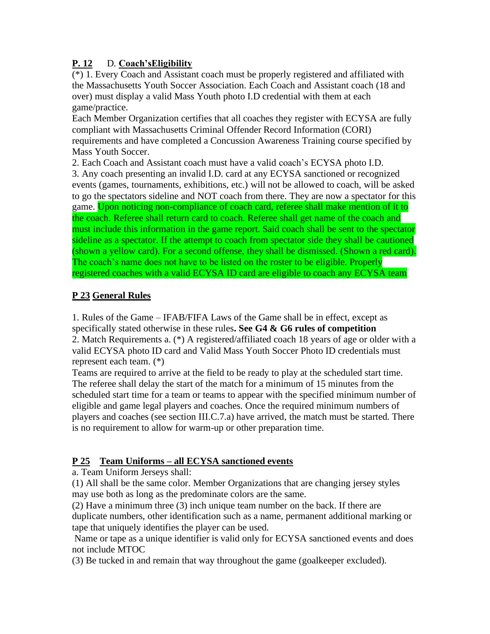# **P. 12** D. **Coach'sEligibility**

(\*) 1. Every Coach and Assistant coach must be properly registered and affiliated with the Massachusetts Youth Soccer Association. Each Coach and Assistant coach (18 and over) must display a valid Mass Youth photo I.D credential with them at each game/practice.

Each Member Organization certifies that all coaches they register with ECYSA are fully compliant with Massachusetts Criminal Offender Record Information (CORI) requirements and have completed a Concussion Awareness Training course specified by Mass Youth Soccer.

2. Each Coach and Assistant coach must have a valid coach's ECYSA photo I.D. 3. Any coach presenting an invalid I.D. card at any ECYSA sanctioned or recognized events (games, tournaments, exhibitions, etc.) will not be allowed to coach, will be asked to go the spectators sideline and NOT coach from there. They are now a spectator for this game. Upon noticing non-compliance of coach card, referee shall make mention of it to the coach. Referee shall return card to coach. Referee shall get name of the coach and must include this information in the game report. Said coach shall be sent to the spectator sideline as a spectator. If the attempt to coach from spectator side they shall be cautioned (shown a yellow card). For a second offense, they shall be dismissed. (Shown a red card).

The coach's name does not have to be listed on the roster to be eligible. Properly registered coaches with a valid ECYSA ID card are eligible to coach any ECYSA team

# **P 23 General Rules**

1. Rules of the Game – IFAB/FIFA Laws of the Game shall be in effect, except as specifically stated otherwise in these rules**. See G4 & G6 rules of competition** 2. Match Requirements a. (\*) A registered/affiliated coach 18 years of age or older with a valid ECYSA photo ID card and Valid Mass Youth Soccer Photo ID credentials must represent each team. (\*)

Teams are required to arrive at the field to be ready to play at the scheduled start time. The referee shall delay the start of the match for a minimum of 15 minutes from the scheduled start time for a team or teams to appear with the specified minimum number of eligible and game legal players and coaches. Once the required minimum numbers of players and coaches (see section III.C.7.a) have arrived, the match must be started. There is no requirement to allow for warm-up or other preparation time.

### **P 25 Team Uniforms – all ECYSA sanctioned events**

a. Team Uniform Jerseys shall:

(1) All shall be the same color. Member Organizations that are changing jersey styles may use both as long as the predominate colors are the same.

(2) Have a minimum three (3) inch unique team number on the back. If there are duplicate numbers, other identification such as a name, permanent additional marking or tape that uniquely identifies the player can be used.

Name or tape as a unique identifier is valid only for ECYSA sanctioned events and does not include MTOC

(3) Be tucked in and remain that way throughout the game (goalkeeper excluded).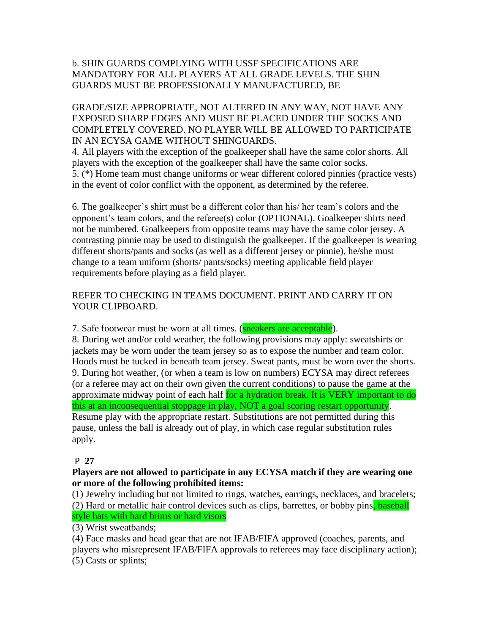### b. SHIN GUARDS COMPLYING WITH USSF SPECIFICATIONS ARE MANDATORY FOR ALL PLAYERS AT ALL GRADE LEVELS. THE SHIN GUARDS MUST BE PROFESSIONALLY MANUFACTURED, BE

GRADE/SIZE APPROPRIATE, NOT ALTERED IN ANY WAY, NOT HAVE ANY EXPOSED SHARP EDGES AND MUST BE PLACED UNDER THE SOCKS AND COMPLETELY COVERED. NO PLAYER WILL BE ALLOWED TO PARTICIPATE IN AN ECYSA GAME WITHOUT SHINGUARDS.

4. All players with the exception of the goalkeeper shall have the same color shorts. All players with the exception of the goalkeeper shall have the same color socks. 5. (\*) Home team must change uniforms or wear different colored pinnies (practice vests) in the event of color conflict with the opponent, as determined by the referee.

6. The goalkeeper's shirt must be a different color than his/ her team's colors and the opponent's team colors, and the referee(s) color (OPTIONAL). Goalkeeper shirts need not be numbered. Goalkeepers from opposite teams may have the same color jersey. A contrasting pinnie may be used to distinguish the goalkeeper. If the goalkeeper is wearing different shorts/pants and socks (as well as a different jersey or pinnie), he/she must change to a team uniform (shorts/ pants/socks) meeting applicable field player requirements before playing as a field player.

### REFER TO CHECKING IN TEAMS DOCUMENT. PRINT AND CARRY IT ON YOUR CLIPBOARD.

7. Safe footwear must be worn at all times. (**sneakers are acceptable**).

8. During wet and/or cold weather, the following provisions may apply: sweatshirts or jackets may be worn under the team jersey so as to expose the number and team color. Hoods must be tucked in beneath team jersey. Sweat pants, must be worn over the shorts. 9. During hot weather, (or when a team is low on numbers) ECYSA may direct referees (or a referee may act on their own given the current conditions) to pause the game at the approximate midway point of each half for a hydration break. It is VERY important to do this at an inconsequential stoppage in play, NOT a goal scoring restart opportunity. Resume play with the appropriate restart. Substitutions are not permitted during this pause, unless the ball is already out of play, in which case regular substitution rules apply.

#### P **27**

#### **Players are not allowed to participate in any ECYSA match if they are wearing one or more of the following prohibited items:**

(1) Jewelry including but not limited to rings, watches, earrings, necklaces, and bracelets; (2) Hard or metallic hair control devices such as clips, barrettes, or bobby pins, baseball style hats with hard brims or hard visors

(3) Wrist sweatbands;

(4) Face masks and head gear that are not IFAB/FIFA approved (coaches, parents, and players who misrepresent IFAB/FIFA approvals to referees may face disciplinary action); (5) Casts or splints;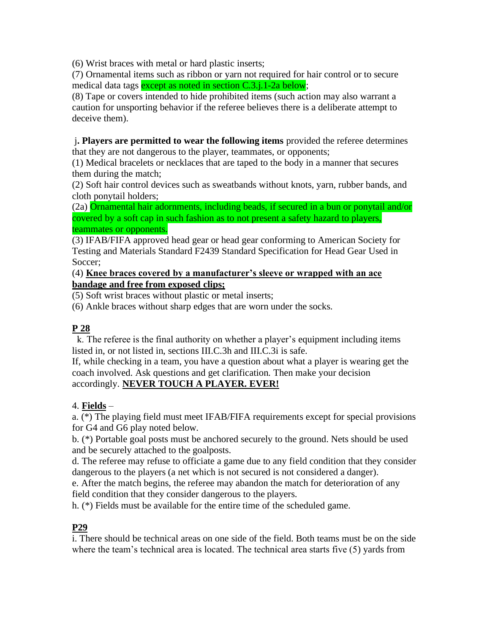(6) Wrist braces with metal or hard plastic inserts;

(7) Ornamental items such as ribbon or yarn not required for hair control or to secure medical data tags except as noted in section C.3.j.1-2a below;

(8) Tape or covers intended to hide prohibited items (such action may also warrant a caution for unsporting behavior if the referee believes there is a deliberate attempt to deceive them).

j**. Players are permitted to wear the following items** provided the referee determines that they are not dangerous to the player, teammates, or opponents;

(1) Medical bracelets or necklaces that are taped to the body in a manner that secures them during the match;

(2) Soft hair control devices such as sweatbands without knots, yarn, rubber bands, and cloth ponytail holders;

(2a) Ornamental hair adornments, including beads, if secured in a bun or ponytail and/or covered by a soft cap in such fashion as to not present a safety hazard to players, teammates or opponents.

(3) IFAB/FIFA approved head gear or head gear conforming to American Society for Testing and Materials Standard F2439 Standard Specification for Head Gear Used in Soccer:

(4) **Knee braces covered by a manufacturer's sleeve or wrapped with an ace bandage and free from exposed clips;**

(5) Soft wrist braces without plastic or metal inserts;

(6) Ankle braces without sharp edges that are worn under the socks.

### **P 28**

 k. The referee is the final authority on whether a player's equipment including items listed in, or not listed in, sections III.C.3h and III.C.3i is safe.

If, while checking in a team, you have a question about what a player is wearing get the coach involved. Ask questions and get clarification. Then make your decision accordingly. **NEVER TOUCH A PLAYER. EVER!** 

#### 4. **Fields** –

a. (\*) The playing field must meet IFAB/FIFA requirements except for special provisions for G4 and G6 play noted below.

b. (\*) Portable goal posts must be anchored securely to the ground. Nets should be used and be securely attached to the goalposts.

d. The referee may refuse to officiate a game due to any field condition that they consider dangerous to the players (a net which is not secured is not considered a danger).

e. After the match begins, the referee may abandon the match for deterioration of any field condition that they consider dangerous to the players.

h. (\*) Fields must be available for the entire time of the scheduled game.

### **P29**

i. There should be technical areas on one side of the field. Both teams must be on the side where the team's technical area is located. The technical area starts five (5) yards from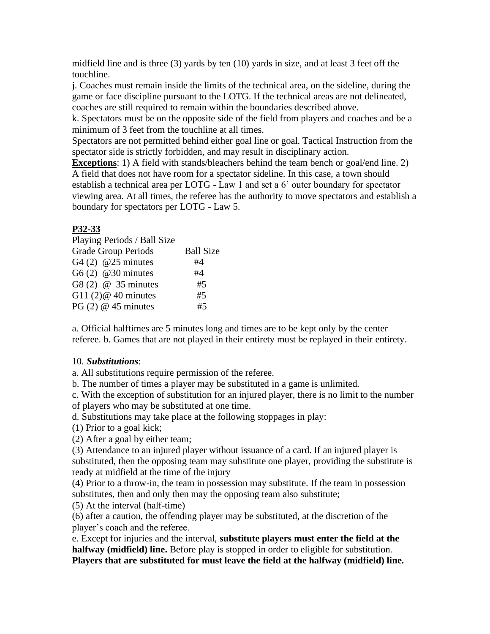midfield line and is three (3) yards by ten (10) yards in size, and at least 3 feet off the touchline.

j. Coaches must remain inside the limits of the technical area, on the sideline, during the game or face discipline pursuant to the LOTG. If the technical areas are not delineated, coaches are still required to remain within the boundaries described above.

k. Spectators must be on the opposite side of the field from players and coaches and be a minimum of 3 feet from the touchline at all times.

Spectators are not permitted behind either goal line or goal. Tactical Instruction from the spectator side is strictly forbidden, and may result in disciplinary action.

**Exceptions**: 1) A field with stands/bleachers behind the team bench or goal/end line. 2) A field that does not have room for a spectator sideline. In this case, a town should establish a technical area per LOTG - Law 1 and set a 6' outer boundary for spectator viewing area. At all times, the referee has the authority to move spectators and establish a boundary for spectators per LOTG - Law 5.

### **P32-33**

| Playing Periods / Ball Size |                  |
|-----------------------------|------------------|
| <b>Grade Group Periods</b>  | <b>Ball Size</b> |
| G4 $(2)$ @25 minutes        | #4               |
| G6 $(2)$ @30 minutes        | #4               |
| G8 $(2)$ @ 35 minutes       | #5               |
| G11 $(2)$ @ 40 minutes      | #5               |
| PG $(2)$ @ 45 minutes       | #5               |

a. Official halftimes are 5 minutes long and times are to be kept only by the center referee. b. Games that are not played in their entirety must be replayed in their entirety.

#### 10. *Substitutions*:

a. All substitutions require permission of the referee.

b. The number of times a player may be substituted in a game is unlimited.

c. With the exception of substitution for an injured player, there is no limit to the number of players who may be substituted at one time.

d. Substitutions may take place at the following stoppages in play:

(1) Prior to a goal kick;

(2) After a goal by either team;

(3) Attendance to an injured player without issuance of a card. If an injured player is substituted, then the opposing team may substitute one player, providing the substitute is ready at midfield at the time of the injury

(4) Prior to a throw-in, the team in possession may substitute. If the team in possession substitutes, then and only then may the opposing team also substitute;

(5) At the interval (half-time)

(6) after a caution, the offending player may be substituted, at the discretion of the player's coach and the referee.

e. Except for injuries and the interval, **substitute players must enter the field at the halfway (midfield) line.** Before play is stopped in order to eligible for substitution. **Players that are substituted for must leave the field at the halfway (midfield) line.**